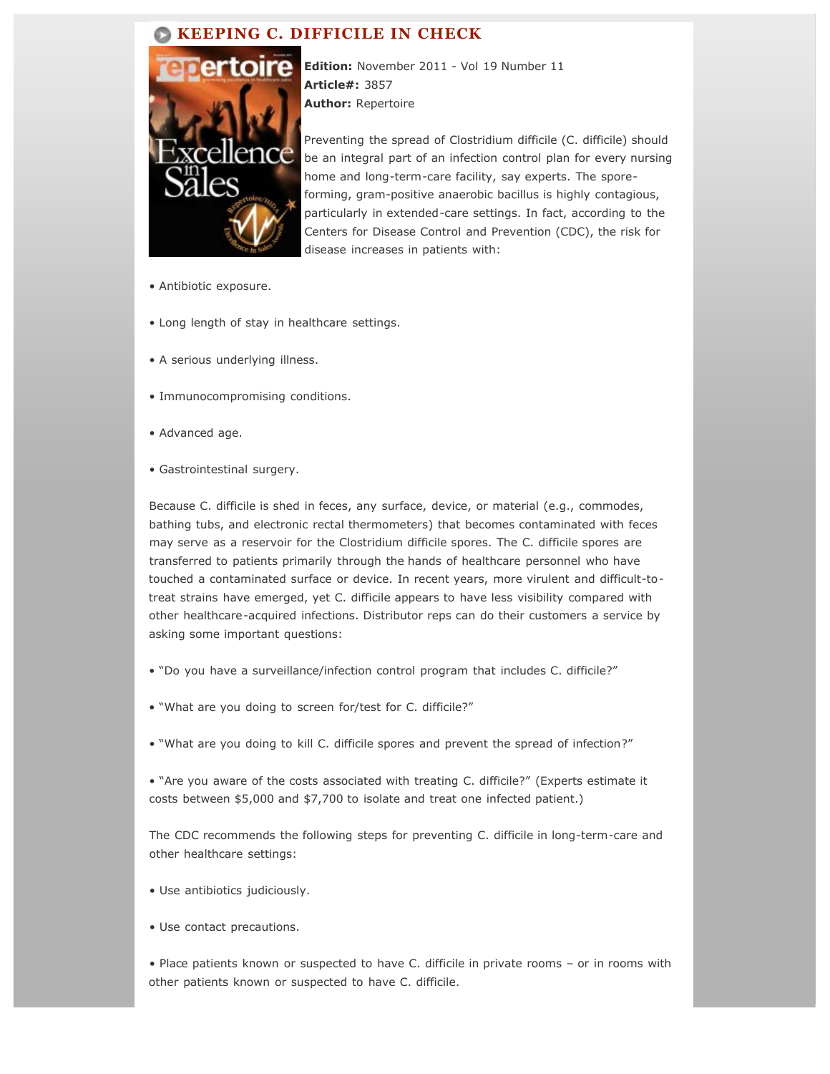## **KEEPING C. DIFFICILE IN CHECK**



**Edition:** November 2011 - Vol 19 Number 11 **Article#:** 3857 **Author:** Repertoire

Preventing the spread of Clostridium difficile (C. difficile) should be an integral part of an infection control plan for every nursing home and long-term-care facility, say experts. The sporeforming, gram-positive anaerobic bacillus is highly contagious, particularly in extended-care settings. In fact, according to the Centers for Disease Control and Prevention (CDC), the risk for disease increases in patients with:

- Antibiotic exposure.
- Long length of stay in healthcare settings.
- A serious underlying illness.
- Immunocompromising conditions.
- Advanced age.
- Gastrointestinal surgery.

Because C. difficile is shed in feces, any surface, device, or material (e.g., commodes, bathing tubs, and electronic rectal thermometers) that becomes contaminated with feces may serve as a reservoir for the Clostridium difficile spores. The C. difficile spores are transferred to patients primarily through the hands of healthcare personnel who have touched a contaminated surface or device. In recent years, more virulent and difficult-totreat strains have emerged, yet C. difficile appears to have less visibility compared with other healthcare-acquired infections. Distributor reps can do their customers a service by asking some important questions:

- "Do you have a surveillance/infection control program that includes C. difficile?"
- "What are you doing to screen for/test for C. difficile?"
- "What are you doing to kill C. difficile spores and prevent the spread of infection?"

• "Are you aware of the costs associated with treating C. difficile?" (Experts estimate it costs between \$5,000 and \$7,700 to isolate and treat one infected patient.)

The CDC recommends the following steps for preventing C. difficile in long-term-care and other healthcare settings:

- Use antibiotics judiciously.
- Use contact precautions.

• Place patients known or suspected to have C. difficile in private rooms – or in rooms with other patients known or suspected to have C. difficile.